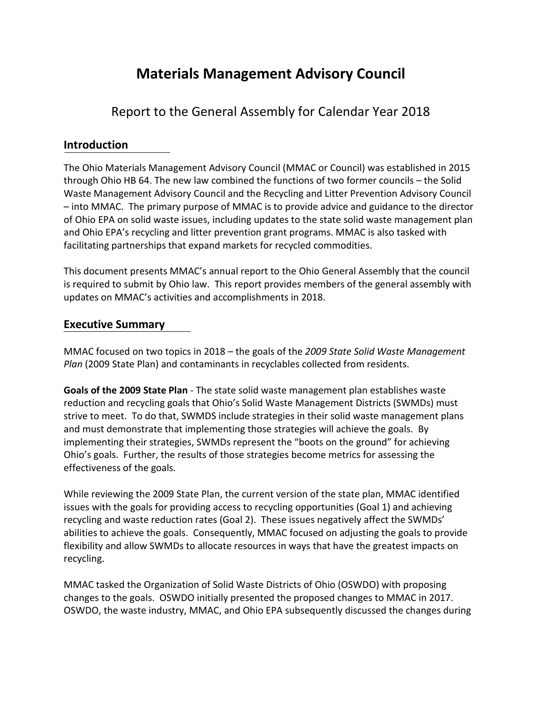# **Materials Management Advisory Council**

## Report to the General Assembly for Calendar Year 2018

## **Introduction**

The Ohio Materials Management Advisory Council (MMAC or Council) was established in 2015 through Ohio HB 64. The new law combined the functions of two former councils – the Solid Waste Management Advisory Council and the Recycling and Litter Prevention Advisory Council – into MMAC. The primary purpose of MMAC is to provide advice and guidance to the director of Ohio EPA on solid waste issues, including updates to the state solid waste management plan and Ohio EPA's recycling and litter prevention grant programs. MMAC is also tasked with facilitating partnerships that expand markets for recycled commodities.

This document presents MMAC's annual report to the Ohio General Assembly that the council is required to submit by Ohio law. This report provides members of the general assembly with updates on MMAC's activities and accomplishments in 2018.

### **Executive Summary**

MMAC focused on two topics in 2018 – the goals of the *2009 State Solid Waste Management Plan* (2009 State Plan) and contaminants in recyclables collected from residents.

**Goals of the 2009 State Plan** - The state solid waste management plan establishes waste reduction and recycling goals that Ohio's Solid Waste Management Districts (SWMDs) must strive to meet. To do that, SWMDS include strategies in their solid waste management plans and must demonstrate that implementing those strategies will achieve the goals. By implementing their strategies, SWMDs represent the "boots on the ground" for achieving Ohio's goals. Further, the results of those strategies become metrics for assessing the effectiveness of the goals.

While reviewing the 2009 State Plan, the current version of the state plan, MMAC identified issues with the goals for providing access to recycling opportunities (Goal 1) and achieving recycling and waste reduction rates (Goal 2). These issues negatively affect the SWMDs' abilities to achieve the goals. Consequently, MMAC focused on adjusting the goals to provide flexibility and allow SWMDs to allocate resources in ways that have the greatest impacts on recycling.

MMAC tasked the Organization of Solid Waste Districts of Ohio (OSWDO) with proposing changes to the goals. OSWDO initially presented the proposed changes to MMAC in 2017. OSWDO, the waste industry, MMAC, and Ohio EPA subsequently discussed the changes during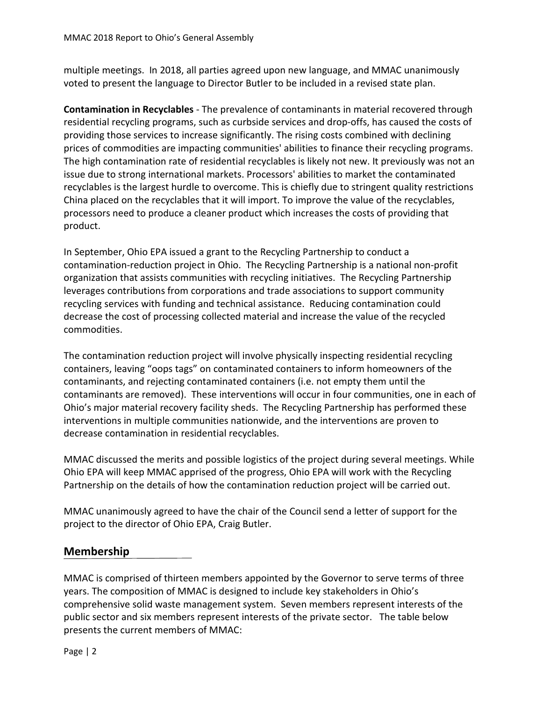multiple meetings. In 2018, all parties agreed upon new language, and MMAC unanimously voted to present the language to Director Butler to be included in a revised state plan.

**Contamination in Recyclables** - The prevalence of contaminants in material recovered through residential recycling programs, such as curbside services and drop-offs, has caused the costs of providing those services to increase significantly. The rising costs combined with declining prices of commodities are impacting communities' abilities to finance their recycling programs. The high contamination rate of residential recyclables is likely not new. It previously was not an issue due to strong international markets. Processors' abilities to market the contaminated recyclables is the largest hurdle to overcome. This is chiefly due to stringent quality restrictions China placed on the recyclables that it will import. To improve the value of the recyclables, processors need to produce a cleaner product which increases the costs of providing that product.

In September, Ohio EPA issued a grant to the Recycling Partnership to conduct a contamination-reduction project in Ohio. The Recycling Partnership is a national non-profit organization that assists communities with recycling initiatives. The Recycling Partnership leverages contributions from corporations and trade associations to support community recycling services with funding and technical assistance. Reducing contamination could decrease the cost of processing collected material and increase the value of the recycled commodities.

The contamination reduction project will involve physically inspecting residential recycling containers, leaving "oops tags" on contaminated containers to inform homeowners of the contaminants, and rejecting contaminated containers (i.e. not empty them until the contaminants are removed). These interventions will occur in four communities, one in each of Ohio's major material recovery facility sheds. The Recycling Partnership has performed these interventions in multiple communities nationwide, and the interventions are proven to decrease contamination in residential recyclables.

MMAC discussed the merits and possible logistics of the project during several meetings. While Ohio EPA will keep MMAC apprised of the progress, Ohio EPA will work with the Recycling Partnership on the details of how the contamination reduction project will be carried out.

MMAC unanimously agreed to have the chair of the Council send a letter of support for the project to the director of Ohio EPA, Craig Butler.

## **Membership**

MMAC is comprised of thirteen members appointed by the Governor to serve terms of three years. The composition of MMAC is designed to include key stakeholders in Ohio's comprehensive solid waste management system. Seven members represent interests of the public sector and six members represent interests of the private sector. The table below presents the current members of MMAC: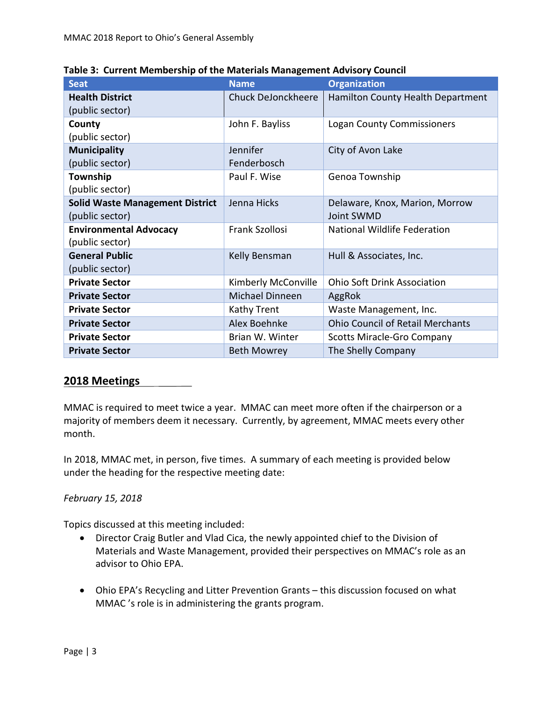| <b>Seat</b>                            | <b>Name</b>               | <b>Organization</b>                     |
|----------------------------------------|---------------------------|-----------------------------------------|
| <b>Health District</b>                 | <b>Chuck DeJonckheere</b> | Hamilton County Health Department       |
| (public sector)                        |                           |                                         |
| County                                 | John F. Bayliss           | <b>Logan County Commissioners</b>       |
| (public sector)                        |                           |                                         |
| <b>Municipality</b>                    | Jennifer                  | City of Avon Lake                       |
| (public sector)                        | Fenderbosch               |                                         |
| Township                               | Paul F. Wise              | Genoa Township                          |
| (public sector)                        |                           |                                         |
| <b>Solid Waste Management District</b> | Jenna Hicks               | Delaware, Knox, Marion, Morrow          |
| (public sector)                        |                           | Joint SWMD                              |
| <b>Environmental Advocacy</b>          | Frank Szollosi            | National Wildlife Federation            |
| (public sector)                        |                           |                                         |
| <b>General Public</b>                  | Kelly Bensman             | Hull & Associates, Inc.                 |
| (public sector)                        |                           |                                         |
| <b>Private Sector</b>                  | Kimberly McConville       | <b>Ohio Soft Drink Association</b>      |
| <b>Private Sector</b>                  | Michael Dinneen           | AggRok                                  |
| <b>Private Sector</b>                  | Kathy Trent               | Waste Management, Inc.                  |
| <b>Private Sector</b>                  | <b>Alex Boehnke</b>       | <b>Ohio Council of Retail Merchants</b> |
| <b>Private Sector</b>                  | Brian W. Winter           | <b>Scotts Miracle-Gro Company</b>       |
| <b>Private Sector</b>                  | <b>Beth Mowrey</b>        | The Shelly Company                      |

**Table 3: Current Membership of the Materials Management Advisory Council**

## **2018 Meetings**

MMAC is required to meet twice a year. MMAC can meet more often if the chairperson or a majority of members deem it necessary. Currently, by agreement, MMAC meets every other month.

In 2018, MMAC met, in person, five times. A summary of each meeting is provided below under the heading for the respective meeting date:

#### *February 15, 2018*

Topics discussed at this meeting included:

- Director Craig Butler and Vlad Cica, the newly appointed chief to the Division of Materials and Waste Management, provided their perspectives on MMAC's role as an advisor to Ohio EPA.
- Ohio EPA's Recycling and Litter Prevention Grants this discussion focused on what MMAC 's role is in administering the grants program.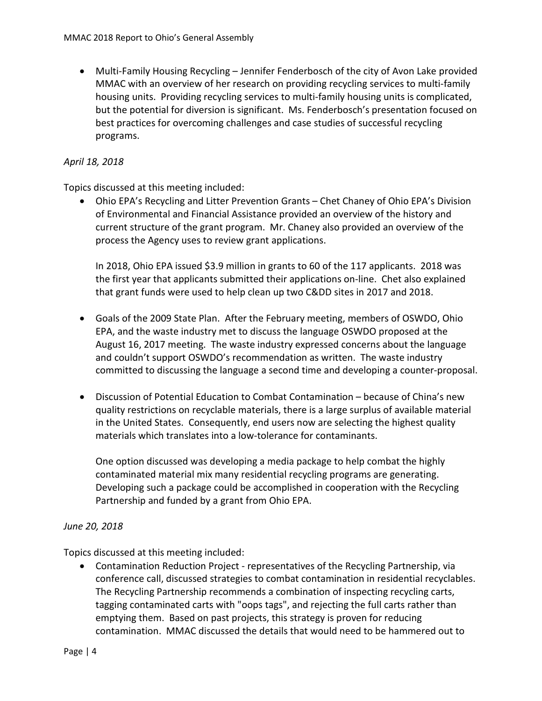• Multi-Family Housing Recycling – Jennifer Fenderbosch of the city of Avon Lake provided MMAC with an overview of her research on providing recycling services to multi-family housing units. Providing recycling services to multi-family housing units is complicated, but the potential for diversion is significant. Ms. Fenderbosch's presentation focused on best practices for overcoming challenges and case studies of successful recycling programs.

#### *April 18, 2018*

Topics discussed at this meeting included:

• Ohio EPA's Recycling and Litter Prevention Grants – Chet Chaney of Ohio EPA's Division of Environmental and Financial Assistance provided an overview of the history and current structure of the grant program. Mr. Chaney also provided an overview of the process the Agency uses to review grant applications.

In 2018, Ohio EPA issued \$3.9 million in grants to 60 of the 117 applicants. 2018 was the first year that applicants submitted their applications on-line. Chet also explained that grant funds were used to help clean up two C&DD sites in 2017 and 2018.

- Goals of the 2009 State Plan. After the February meeting, members of OSWDO, Ohio EPA, and the waste industry met to discuss the language OSWDO proposed at the August 16, 2017 meeting. The waste industry expressed concerns about the language and couldn't support OSWDO's recommendation as written. The waste industry committed to discussing the language a second time and developing a counter-proposal.
- Discussion of Potential Education to Combat Contamination because of China's new quality restrictions on recyclable materials, there is a large surplus of available material in the United States. Consequently, end users now are selecting the highest quality materials which translates into a low-tolerance for contaminants.

One option discussed was developing a media package to help combat the highly contaminated material mix many residential recycling programs are generating. Developing such a package could be accomplished in cooperation with the Recycling Partnership and funded by a grant from Ohio EPA.

#### *June 20, 2018*

Topics discussed at this meeting included:

• Contamination Reduction Project - representatives of the Recycling Partnership, via conference call, discussed strategies to combat contamination in residential recyclables. The Recycling Partnership recommends a combination of inspecting recycling carts, tagging contaminated carts with "oops tags", and rejecting the full carts rather than emptying them. Based on past projects, this strategy is proven for reducing contamination. MMAC discussed the details that would need to be hammered out to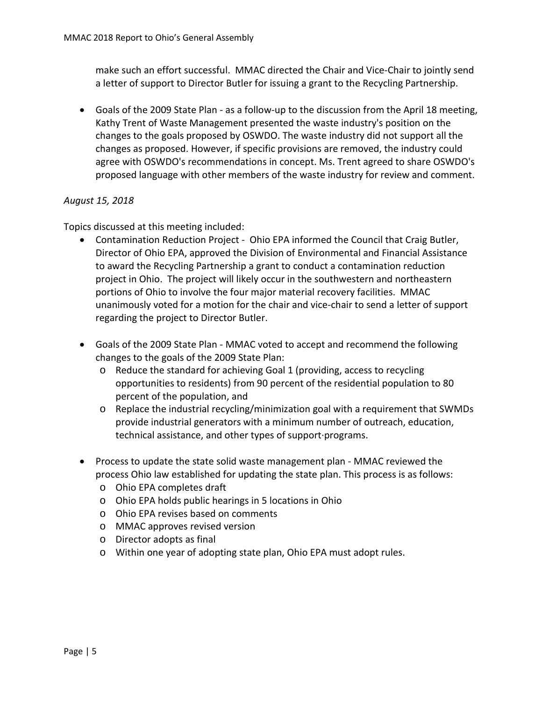make such an effort successful. MMAC directed the Chair and Vice-Chair to jointly send a letter of support to Director Butler for issuing a grant to the Recycling Partnership.

• Goals of the 2009 State Plan - as a follow-up to the discussion from the April 18 meeting, Kathy Trent of Waste Management presented the waste industry's position on the changes to the goals proposed by OSWDO. The waste industry did not support all the changes as proposed. However, if specific provisions are removed, the industry could agree with OSWDO's recommendations in concept. Ms. Trent agreed to share OSWDO's proposed language with other members of the waste industry for review and comment.

#### *August 15, 2018*

Topics discussed at this meeting included:

- Contamination Reduction Project Ohio EPA informed the Council that Craig Butler, Director of Ohio EPA, approved the Division of Environmental and Financial Assistance to award the Recycling Partnership a grant to conduct a contamination reduction project in Ohio. The project will likely occur in the southwestern and northeastern portions of Ohio to involve the four major material recovery facilities. MMAC unanimously voted for a motion for the chair and vice-chair to send a letter of support regarding the project to Director Butler.
- Goals of the 2009 State Plan MMAC voted to accept and recommend the following changes to the goals of the 2009 State Plan:
	- o Reduce the standard for achieving Goal 1 (providing, access to recycling opportunities to residents) from 90 percent of the residential population to 80 percent of the population, and
	- o Replace the industrial recycling/minimization goal with a requirement that SWMDs provide industrial generators with a minimum number of outreach, education, technical assistance, and other types of support·programs.
- Process to update the state solid waste management plan MMAC reviewed the process Ohio law established for updating the state plan. This process is as follows:
	- o Ohio EPA completes draft
	- o Ohio EPA holds public hearings in 5 locations in Ohio
	- o Ohio EPA revises based on comments
	- o MMAC approves revised version
	- o Director adopts as final
	- o Within one year of adopting state plan, Ohio EPA must adopt rules.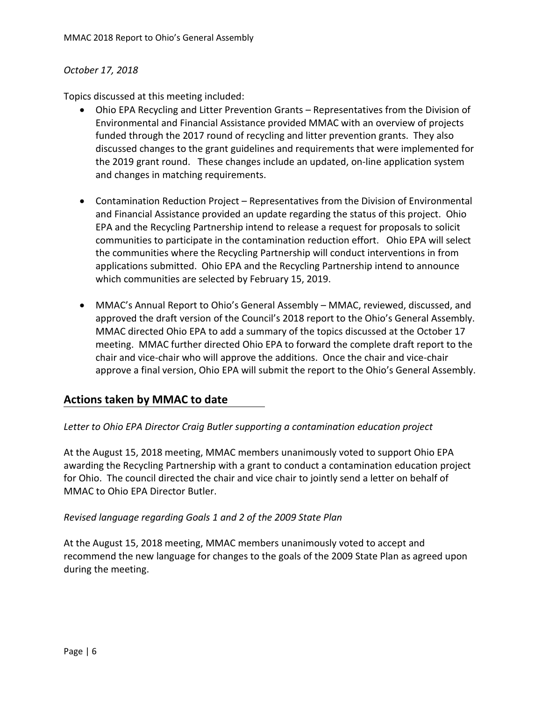#### *October 17, 2018*

Topics discussed at this meeting included:

- Ohio EPA Recycling and Litter Prevention Grants Representatives from the Division of Environmental and Financial Assistance provided MMAC with an overview of projects funded through the 2017 round of recycling and litter prevention grants. They also discussed changes to the grant guidelines and requirements that were implemented for the 2019 grant round. These changes include an updated, on-line application system and changes in matching requirements.
- Contamination Reduction Project Representatives from the Division of Environmental and Financial Assistance provided an update regarding the status of this project. Ohio EPA and the Recycling Partnership intend to release a request for proposals to solicit communities to participate in the contamination reduction effort. Ohio EPA will select the communities where the Recycling Partnership will conduct interventions in from applications submitted. Ohio EPA and the Recycling Partnership intend to announce which communities are selected by February 15, 2019.
- MMAC's Annual Report to Ohio's General Assembly MMAC, reviewed, discussed, and approved the draft version of the Council's 2018 report to the Ohio's General Assembly. MMAC directed Ohio EPA to add a summary of the topics discussed at the October 17 meeting. MMAC further directed Ohio EPA to forward the complete draft report to the chair and vice-chair who will approve the additions. Once the chair and vice-chair approve a final version, Ohio EPA will submit the report to the Ohio's General Assembly.

## **Actions taken by MMAC to date**

#### *Letter to Ohio EPA Director Craig Butler supporting a contamination education project*

At the August 15, 2018 meeting, MMAC members unanimously voted to support Ohio EPA awarding the Recycling Partnership with a grant to conduct a contamination education project for Ohio. The council directed the chair and vice chair to jointly send a letter on behalf of MMAC to Ohio EPA Director Butler.

#### *Revised language regarding Goals 1 and 2 of the 2009 State Plan*

At the August 15, 2018 meeting, MMAC members unanimously voted to accept and recommend the new language for changes to the goals of the 2009 State Plan as agreed upon during the meeting.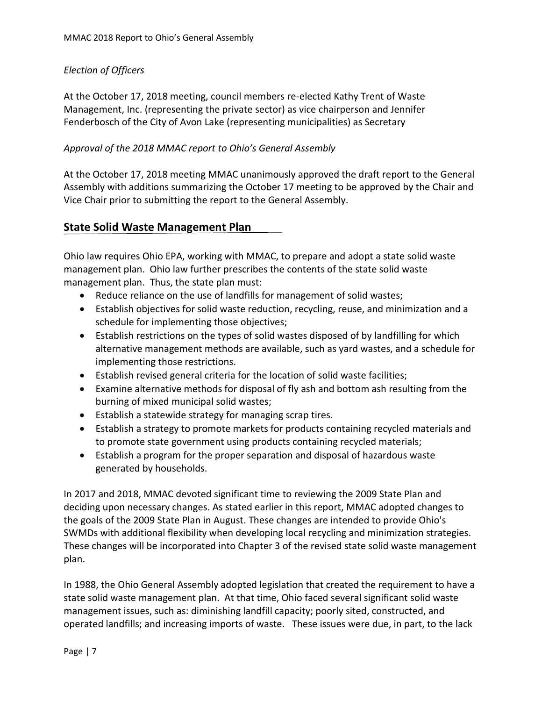#### *Election of Officers*

At the October 17, 2018 meeting, council members re-elected Kathy Trent of Waste Management, Inc. (representing the private sector) as vice chairperson and Jennifer Fenderbosch of the City of Avon Lake (representing municipalities) as Secretary

#### *Approval of the 2018 MMAC report to Ohio's General Assembly*

At the October 17, 2018 meeting MMAC unanimously approved the draft report to the General Assembly with additions summarizing the October 17 meeting to be approved by the Chair and Vice Chair prior to submitting the report to the General Assembly.

#### **State Solid Waste Management Plan**

Ohio law requires Ohio EPA, working with MMAC, to prepare and adopt a state solid waste management plan. Ohio law further prescribes the contents of the state solid waste management plan. Thus, the state plan must:

- Reduce reliance on the use of landfills for management of solid wastes;
- Establish objectives for solid waste reduction, recycling, reuse, and minimization and a schedule for implementing those objectives;
- Establish restrictions on the types of solid wastes disposed of by landfilling for which alternative management methods are available, such as yard wastes, and a schedule for implementing those restrictions.
- Establish revised general criteria for the location of solid waste facilities;
- Examine alternative methods for disposal of fly ash and bottom ash resulting from the burning of mixed municipal solid wastes;
- Establish a statewide strategy for managing scrap tires.
- Establish a strategy to promote markets for products containing recycled materials and to promote state government using products containing recycled materials;
- Establish a program for the proper separation and disposal of hazardous waste generated by households.

In 2017 and 2018, MMAC devoted significant time to reviewing the 2009 State Plan and deciding upon necessary changes. As stated earlier in this report, MMAC adopted changes to the goals of the 2009 State Plan in August. These changes are intended to provide Ohio's SWMDs with additional flexibility when developing local recycling and minimization strategies. These changes will be incorporated into Chapter 3 of the revised state solid waste management plan.

In 1988, the Ohio General Assembly adopted legislation that created the requirement to have a state solid waste management plan. At that time, Ohio faced several significant solid waste management issues, such as: diminishing landfill capacity; poorly sited, constructed, and operated landfills; and increasing imports of waste. These issues were due, in part, to the lack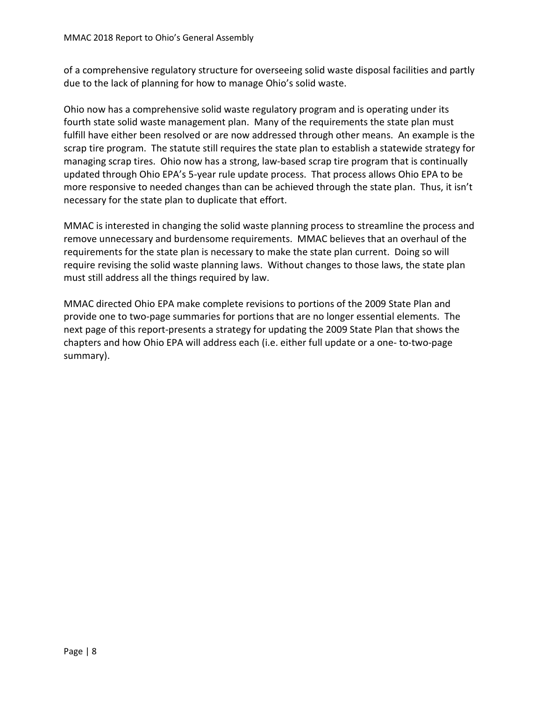of a comprehensive regulatory structure for overseeing solid waste disposal facilities and partly due to the lack of planning for how to manage Ohio's solid waste.

Ohio now has a comprehensive solid waste regulatory program and is operating under its fourth state solid waste management plan. Many of the requirements the state plan must fulfill have either been resolved or are now addressed through other means. An example is the scrap tire program. The statute still requires the state plan to establish a statewide strategy for managing scrap tires. Ohio now has a strong, law-based scrap tire program that is continually updated through Ohio EPA's 5-year rule update process. That process allows Ohio EPA to be more responsive to needed changes than can be achieved through the state plan. Thus, it isn't necessary for the state plan to duplicate that effort.

MMAC is interested in changing the solid waste planning process to streamline the process and remove unnecessary and burdensome requirements. MMAC believes that an overhaul of the requirements for the state plan is necessary to make the state plan current. Doing so will require revising the solid waste planning laws. Without changes to those laws, the state plan must still address all the things required by law.

MMAC directed Ohio EPA make complete revisions to portions of the 2009 State Plan and provide one to two-page summaries for portions that are no longer essential elements. The next page of this report-presents a strategy for updating the 2009 State Plan that shows the chapters and how Ohio EPA will address each (i.e. either full update or a one- to-two-page summary).